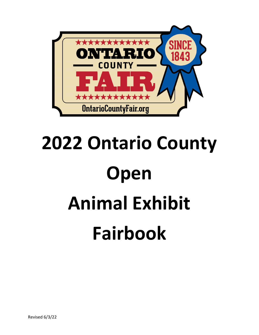

# **2022 Ontario County Open Animal Exhibit Fairbook**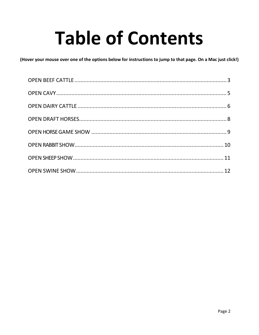# **Table of Contents**

(Hover your mouse over one of the options below for instructions to jump to that page. On a Mac just click!)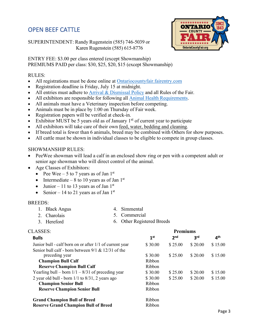# <span id="page-2-0"></span>OPEN BEEF CATTLE

**ONTARIO OntarioCountyFair.org** 

SUPERINTENDENT: Randy Rugenstein (585) 746-5039 or Karen Rugenstein (585) 615-8776

ENTRY FEE: \$3.00 per class entered (except Showmanship) PREMIUMS PAID per class: \$30, \$25, \$20, \$15 (except Showmanship)

## RULES:

- All registrations must be done online at [Ontariocountyfair.fairentry.com](https://ontariocountyfair.fairentry.com/Fair/SignIn/16867)
- Registration deadline is Friday, July 15 at midnight.
- All entries must adhere to [Arrival & Dismissal](http://ontariocountyfair.org/wp-content/uploads/2021/07/2021-Animal-Arrival-Times-6132019-1-2.pdf) [Policy](http://ontariocountyfair.org/wp-content/uploads/2021/07/2021-Animal-Arrival-Times-6132019-1-2.pdf) and all Rules of the Fair.
- All exhibitors are responsible for following all [Animal Health Requirements.](http://ontariocountyfair.org/wp-content/uploads/2019/07/20119-Fair_Health_Requirements.pdf)
- All animals must have a Veterinary inspection before competing.
- Animals must be in place by 1:00 on Thursday of Fair week.
- Registration papers will be verified at check-in.
- Exhibitor MUST be 5 years old as of January  $1<sup>st</sup>$  of current year to participate
- All exhibitors will take care of their own feed, water, bedding and cleaning*.*
- If breed total is fewer than 6 animals, breed may be combined with Others for show purposes.
- All cattle must be shown in individual classes to be eligible to compete in group classes.

# SHOWMANSHIP RULES:

- PeeWee showman will lead a calf in an enclosed show ring or pen with a competent adult or senior age showman who will direct control of the animal.
- Age Classes of Exhibitors:
	- Pee Wee 5 to 7 years as of Jan  $1<sup>st</sup>$
	- Intermediate 8 to 10 years as of Jan  $1<sup>st</sup>$
	- Junior 11 to 13 years as of Jan  $1<sup>st</sup>$
	- Senior 14 to 21 years as of Jan  $1<sup>st</sup>$

### BREEDS:

- 1. Black Angus
- 
- 2. Charolais 3. Hereford
- 4. Simmental 5. Commercial
- 6. Other Registered Breeds

| <b>CLASSES:</b>                                         | <b>Premiums</b> |                 |                 |                 |
|---------------------------------------------------------|-----------------|-----------------|-----------------|-----------------|
| <b>Bulls</b>                                            | 1 <sup>st</sup> | 2 <sub>nd</sub> | 3 <sup>rd</sup> | 4 <sup>th</sup> |
| Junior bull - calf born on or after 1/1 of current year | \$30.00         | \$25.00         | \$20.00         | \$15.00         |
| Senior bull calf - born between $9/1$ & 12/31 of the    |                 |                 |                 |                 |
| preceding year                                          | \$30.00         | \$25.00         | \$20.00         | \$15.00         |
| <b>Champion Bull Calf</b>                               | Ribbon          |                 |                 |                 |
| <b>Reserve Champion Bull Calf</b>                       | Ribbon          |                 |                 |                 |
| Yearling bull – born $1/1 - 8/31$ of preceding year     | \$30.00         | \$25.00         | \$20.00         | \$15.00         |
| 2 year old bull - born $1/1$ to $8/31$ , 2 years ago    | \$30.00         | \$25.00         | \$20.00         | \$15.00         |
| <b>Champion Senior Bull</b>                             | Ribbon          |                 |                 |                 |
| <b>Reserve Champion Senior Bull</b>                     | Ribbon          |                 |                 |                 |
| <b>Grand Champion Bull of Breed</b>                     | Ribbon          |                 |                 |                 |
| <b>Reserve Grand Champion Bull of Breed</b>             | Ribbon          |                 |                 |                 |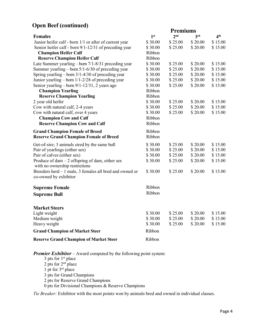# **Open Beef (continued)**

|                                                         |                 | <b>Premiums</b> |         |                 |
|---------------------------------------------------------|-----------------|-----------------|---------|-----------------|
| <b>Females</b>                                          | 1 <sup>st</sup> | 2 <sub>nd</sub> | 3rd     | 4 <sup>th</sup> |
| Junior heifer calf - born 1/1 or after of current year  | \$30.00         | \$25.00         | \$20.00 | \$15.00         |
| Senior heifer calf - born 9/1-12/31 of preceding year   | \$30.00         | \$25.00         | \$20.00 | \$15.00         |
| <b>Champion Heifer Calf</b>                             | Ribbon          |                 |         |                 |
| <b>Reserve Champion Heifer Calf</b>                     | Ribbon          |                 |         |                 |
| Late Summer yearling $-$ born $7/1-8/31$ preceding year | \$30.00         | \$25.00         | \$20.00 | \$15.00         |
| Summer yearling $-$ born $5/1$ -6/30 of preceding year  | \$30.00         | \$25.00         | \$20.00 | \$15.00         |
| Spring yearling $-$ born 3/1-4/30 of preceding year     | \$30.00         | \$25.00         | \$20.00 | \$15.00         |
| Junior yearling – born 1/1-2/28 of preceding year       | \$30.00         | \$25.00         | \$20.00 | \$15.00         |
| Senior yearling – born 9/1-12/31, 2 years ago           | \$30.00         | \$25.00         | \$20.00 | \$15.00         |
| <b>Champion Yearling</b>                                | Ribbon          |                 |         |                 |
| <b>Reserve Champion Yearling</b>                        | Ribbon          |                 |         |                 |
| 2 year old heifer                                       | \$30.00         | \$25.00         | \$20.00 | \$15.00         |
| Cow with natural calf, 2-4 years                        | \$30.00         | \$25.00         | \$20.00 | \$15.00         |
| Cow with natural calf, over 4 years                     | \$30.00         | \$25.00         | \$20.00 | \$15.00         |
| <b>Champion Cow and Calf</b>                            | Ribbon          |                 |         |                 |
| <b>Reserve Champion Cow and Calf</b>                    | Ribbon          |                 |         |                 |
| <b>Grand Champion Female of Breed</b>                   | Ribbon          |                 |         |                 |
| <b>Reserve Grand Champion Female of Breed</b>           | Ribbon          |                 |         |                 |
| Get-of-sire; 3 animals sired by the same bull           | \$30.00         | \$25.00         | \$20.00 | \$15.00         |
| Pair of yearlings (either sex)                          | \$30.00         | \$25.00         | \$20.00 | \$15.00         |
| Pair of calves (either sex)                             | \$30.00         | \$25.00         | \$20.00 | \$15.00         |
| Produce of dam $-2$ offspring of dam, either sex        | \$30.00         | \$25.00         | \$20.00 | \$15.00         |
| with no ownership restrictions                          |                 |                 |         |                 |
| Breeders herd - 1 male, 3 females all bred and owned or | \$30.00         | \$25.00         | \$20.00 | \$15.00         |
| co-owned by exhibitor                                   |                 |                 |         |                 |
| <b>Supreme Female</b>                                   | Ribbon          |                 |         |                 |
| <b>Supreme Bull</b>                                     | Ribbon          |                 |         |                 |
|                                                         |                 |                 |         |                 |
| <b>Market Steers</b>                                    |                 |                 |         |                 |
| Light weight                                            | \$30.00         | \$25.00         | \$20.00 | \$15.00         |
| Medium weight                                           | \$30.00         | \$25.00         | \$20.00 | \$15.00         |
| Heavy weight                                            | \$30.00         | \$25.00         | \$20.00 | \$15.00         |
| <b>Grand Champion of Market Steer</b>                   | Ribbon          |                 |         |                 |
| <b>Reserve Grand Champion of Market Steer</b>           | Ribbon          |                 |         |                 |

*Premier Exhibitor* – Award computed by the following point system:

3 pts for  $1<sup>st</sup>$  place 2 pts for 2<sup>nd</sup> place pt for  $3<sup>rd</sup>$  place pts for Grand Champions pts for Reserve Grand Champions pts for Divisional Champions & Reserve Champions

*Tie Breaker:* Exhibitor with the most points won by animals bred and owned in individual classes.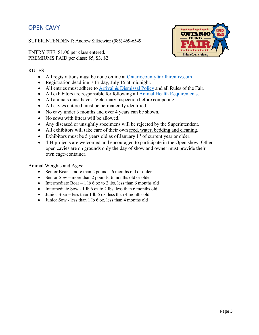# <span id="page-4-0"></span>OPEN CAVY

SUPERINTENDENT: Andrew Silkiewicz (585) 469-6549

ENTRY FEE: \$1.00 per class entered. PREMIUMS PAID per class: \$5, \$3, \$2



# RULES:

- All registrations must be done online at [Ontariocountyfair.fairentry.com](https://ontariocountyfair.fairentry.com/Fair/SignIn/16867)
- Registration deadline is Friday, July 15 at midnight.
- All entries must adhere to [Arrival & Dismissal](http://ontariocountyfair.org/wp-content/uploads/2021/07/2021-Animal-Arrival-Times-6132019-1-2.pdf) [Policy](http://ontariocountyfair.org/wp-content/uploads/2021/07/2021-Animal-Arrival-Times-6132019-1-2.pdf) and all Rules of the Fair.
- All exhibitors are responsible for following all [Animal Health Requirements.](http://ontariocountyfair.org/wp-content/uploads/2019/07/20119-Fair_Health_Requirements.pdf)
- All animals must have a Veterinary inspection before competing.
- All cavies entered must be permanently identified.
- No cavy under 3 months and over 4 years can be shown.
- No sows with litters will be allowed.
- Any diseased or unsightly specimens will be rejected by the Superintendent.
- All exhibitors will take care of their own feed, water, bedding and cleaning*.*
- Exhibitors must be 5 years old as of January  $1<sup>st</sup>$  of current year or older.
- 4-H projects are welcomed and encouraged to participate in the Open show. Other open cavies are on grounds only the day of show and owner must provide their own cage/container.

Animal Weights and Ages:

- Senior Boar more than 2 pounds, 6 months old or older
- Senior Sow more than 2 pounds, 6 months old or older
- Intermediate Boar 1 lb 6 oz to 2 lbs, less than 6 months old
- Intermediate Sow 1 lb 6 oz to 2 lbs, less than 6 months old
- Junior Boar less than 1 lb 6 oz, less than 4 months old
- Junior Sow less than 1 lb 6 oz, less than 4 months old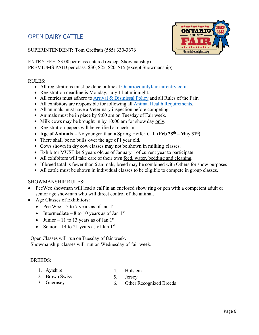# <span id="page-5-0"></span>OPEN DAIRY CATTLE



SUPERINTENDENT: Tom Grefrath (585) 330-3676

ENTRY FEE: \$3.00 per class entered (except Showmanship) PREMIUMS PAID per class: \$30, \$25, \$20, \$15 (except Showmanship)

# RULES:

- All registrations must be done online at [Ontariocountyfair.fairentry.com](https://ontariocountyfair.fairentry.com/Fair/SignIn/16867)
- Registration deadline is Monday, July 11 at midnight.
- All entries must adhere to [Arrival & Dismissal](http://ontariocountyfair.org/wp-content/uploads/2021/07/2021-Animal-Arrival-Times-6132019-1-2.pdf) [Policy](http://ontariocountyfair.org/wp-content/uploads/2021/07/2021-Animal-Arrival-Times-6132019-1-2.pdf) and all Rules of the Fair.
- All exhibitors are responsible for following all [Animal Health Requirements.](http://ontariocountyfair.org/wp-content/uploads/2019/07/20119-Fair_Health_Requirements.pdf)
- All animals must have a Veterinary inspection before competing.
- Animals must be in place by 9:00 am on Tuesday of Fair week.
- Milk cows may be brought in by 10:00 am for show day only.
- Registration papers will be verified at check-in.
- **Age of Animals –** No younger than a Spring Heifer Calf **(Feb 28th – May 31st)**
- There shall be no bulls over the age of 1 year old.
- Cows shown in dry cow classes may not be shown in milking classes.
- Exhibitor MUST be 5 years old as of January 1 of current year to participate
- All exhibitors will take care of their own feed, water, bedding and cleaning*.*
- If breed total is fewer than 6 animals, breed may be combined with Others for show purposes
- All cattle must be shown in individual classes to be eligible to compete in group classes.

### SHOWMANSHIP RULES:

- PeeWee showman will lead a calf in an enclosed show ring or pen with a competent adult or senior age showman who will direct control of the animal.
- Age Classes of Exhibitors:
	- Pee Wee 5 to 7 years as of Jan  $1<sup>st</sup>$
	- Intermediate 8 to 10 years as of Jan  $1<sup>st</sup>$
	- Junior 11 to 13 years as of Jan  $1<sup>st</sup>$
	- Senior 14 to 21 years as of Jan  $1<sup>st</sup>$

Open Classes will run on Tuesday of fair week. Showmanship classes will run on Wednesday of fair week.

### BREEDS:

1. Ayrshire

4. Holstein 5. Jersey

2. Brown Swiss 3. Guernsey

6. Other Recognized Breeds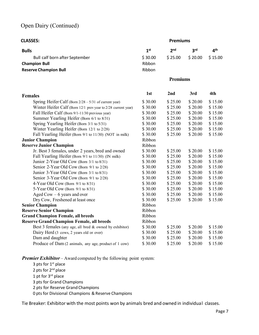# Open Dairy (Continued)

| <b>CLASSES:</b>                                               | <b>Premiums</b> |                 |                 |                 |
|---------------------------------------------------------------|-----------------|-----------------|-----------------|-----------------|
| <b>Bulls</b>                                                  | 1 <sup>st</sup> | 2 <sub>nd</sub> | 3 <sup>rd</sup> | 4 <sup>th</sup> |
| Bull calf born after September                                | \$30.00         | \$25.00         | \$20.00         | \$15.00         |
| <b>Champion Bull</b>                                          | Ribbon          |                 |                 |                 |
| <b>Reserve Champion Bull</b>                                  | Ribbon          |                 |                 |                 |
|                                                               |                 |                 |                 |                 |
|                                                               |                 | <b>Premiums</b> |                 |                 |
| <b>Females</b>                                                | 1st             | 2nd             | 3rd             | 4th             |
| Spring Heifer Calf (Born 2/28 - 5/31 of current year)         | \$30.00         | \$25.00         | \$20.00         | \$15.00         |
| Winter Heifer Calf (Born 12/1 prev year to 2/28 current year) | \$30.00         | \$25.00         | \$20.00         | \$15.00         |
| Fall Heifer Calf (Born 9/1-11/30 previous year)               | \$30.00         | \$25.00         | \$20.00         | \$15.00         |
| Summer Yearling Heifer (Born 6/1 to 8/31)                     | \$30.00         | \$25.00         | \$20.00         | \$15.00         |
| Spring Yearling Heifer (Born 3/1 to 5/31)                     | \$30.00         | \$25.00         | \$20.00         | \$15.00         |
| Winter Yearling Heifer (Born 12/1 to 2/28)                    | \$30.00         | \$25.00         | \$20.00         | \$15.00         |
| Fall Yearling Heifer (Born 9/1 to 11/30) (NOT in milk)        | \$30.00         | \$25.00         | \$20.00         | \$15.00         |
| <b>Junior Champion</b>                                        | Ribbon          |                 |                 |                 |
| <b>Reserve Junior Champion</b>                                | Ribbon          |                 |                 |                 |
| Jr. Best 3 females, under 2 years, bred and owned             | \$30.00         | \$25.00         | \$20.00         | \$15.00         |
| Fall Yearling Heifer (Born 9/1 to 11/30) (IN milk)            | \$30.00         | \$25.00         | \$20.00         | \$15.00         |
| Junior 2-Year Old Cow (Born 3/1 to 8/31)                      | \$30.00         | \$25.00         | \$20.00         | \$15.00         |
| Senior 2-Year Old Cow (Born 9/1 to 2/28)                      | \$30.00         | \$25.00         | \$20.00         | \$15.00         |
| Junior 3-Year Old Cow (Born 3/1 to 8/31)                      | \$30.00         | \$25.00         | \$20.00         | \$15.00         |
| Senior 3-Year Old Cow (Born 9/1 to 2/28)                      | \$30.00         | \$25.00         | \$20.00         | \$15.00         |
| 4-Year Old Cow (Born $9/1$ to $8/31$ )                        | \$30.00         | \$25.00         | \$20.00         | \$15.00         |
| 5-Year Old Cow (Born $9/1$ to $8/31$ )                        | \$30.00         | \$25.00         | \$20.00         | \$15.00         |
| Aged Cow $-6$ years and over                                  | \$30.00         | \$25.00         | \$20.00         | \$15.00         |
| Dry Cow, Freshened at least once                              | \$30.00         | \$25.00         | \$20.00         | \$15.00         |
| <b>Senior Champion</b>                                        | Ribbon          |                 |                 |                 |
| <b>Reserve Senior Champion</b>                                | Ribbon          |                 |                 |                 |
| <b>Grand Champion Female, all breeds</b>                      | Ribbon          |                 |                 |                 |
| <b>Reserve Grand Champion Female, all breeds</b>              | Ribbon          |                 |                 |                 |
| Best 3 females (any age, all bred & owned by exhibitor)       | \$30.00         | \$25.00         | \$20.00         | \$15.00         |
| Dairy Herd (3 cows, 2 years old or over)                      | \$30.00         | \$25.00         | \$20.00         | \$15.00         |
| Dam and daughter                                              | \$30.00         | \$25.00         | \$20.00         | \$15.00         |
| Produce of Dam (2 animals, any age, product of 1 cow)         | \$30.00         | \$25.00         | \$20.00         | \$15.00         |

*Premier Exhibitor* – Award computed by the following point system:

3 pts for  $1<sup>st</sup>$  place 2 pts for 2<sup>nd</sup> place 1 pt for  $3^{rd}$  place 3 pts for Grand Champions 2 pts for Reserve Grand Champions 0 pts for Divisional Champions & Reserve Champions

Tie Breaker: Exhibitor with the most points won by animals bred and owned in individual classes.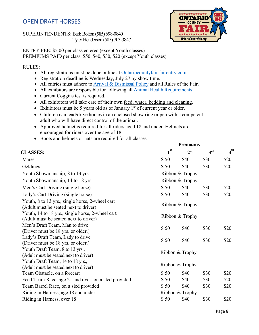# <span id="page-7-0"></span>OPEN DRAFT HORSES

SUPERINTENDENTS: Barb Bolton (585) 698-0840 Tyler Henderson (585) 703-3847



ENTRY FEE: \$5.00 per class entered (except Youth classes) PREMIUMS PAID per class: \$50, \$40, \$30, \$20 (except Youth classes)

### RULES:

- All registrations must be done online at [Ontariocountyfair.fairentry.com](https://ontariocountyfair.fairentry.com/Fair/SignIn/16867)
- Registration deadline is Wednesday, July 27 by show time.
- All entries must adhere to [Arrival & Dismissal](http://ontariocountyfair.org/wp-content/uploads/2021/07/2021-Animal-Arrival-Times-6132019-1-2.pdf) [Policy](http://ontariocountyfair.org/wp-content/uploads/2021/07/2021-Animal-Arrival-Times-6132019-1-2.pdf) and all Rules of the Fair.
- All exhibitors are responsible for following all **Animal Health Requirements**.
- Current Coggins test is required.
- All exhibitors will take care of their own <u>feed, water, bedding and cleaning</u>.
- Exhibitors must be 5 years old as of January  $1<sup>st</sup>$  of current year or older.
- Children can lead/drive horses in an enclosed show ring or pen with a competent adult who will have direct control of the animal.
- Approved helmet is required for all riders aged 18 and under. Helmets are encouraged for riders over the age of 18.
- Boots and helmets or hats are required for all classes.

| $1^{\rm st}$ | 2 <sub>nd</sub> | 3rd                                                                                                                               | 4 <sup>th</sup> |
|--------------|-----------------|-----------------------------------------------------------------------------------------------------------------------------------|-----------------|
| \$50         | \$40            | \$30                                                                                                                              | \$20            |
| \$50         | \$40            | \$30                                                                                                                              | \$20            |
|              |                 |                                                                                                                                   |                 |
|              |                 |                                                                                                                                   |                 |
| \$50         | \$40            | \$30                                                                                                                              | \$20            |
| \$50         | \$40            | \$30                                                                                                                              | \$20            |
|              |                 |                                                                                                                                   |                 |
|              |                 |                                                                                                                                   |                 |
| \$50         | \$40            | \$30                                                                                                                              | \$20            |
| \$50         | \$40            | \$30                                                                                                                              | \$20            |
|              |                 |                                                                                                                                   |                 |
|              |                 |                                                                                                                                   |                 |
| \$50         | \$40            | \$30                                                                                                                              | \$20            |
| \$50         | \$40            | \$30                                                                                                                              | \$20            |
| \$50         | \$40            | \$30                                                                                                                              | \$20            |
|              |                 |                                                                                                                                   |                 |
| \$50         | \$40            | \$30                                                                                                                              | \$20            |
|              |                 | Ribbon & Trophy<br>Ribbon & Trophy<br>Ribbon & Trophy<br>Ribbon & Trophy<br>Ribbon & Trophy<br>Ribbon & Trophy<br>Ribbon & Trophy | <b>Premiums</b> |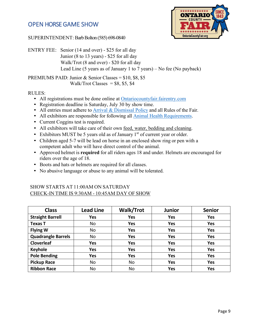# <span id="page-8-0"></span>OPEN HORSE GAME SHOW



SUPERINTENDENT: Barb Bolton (585) 698-0840

ENTRY FEE: Senior (14 and over) - \$25 for all day Junior (8 to 13 years) - \$25 for all day Walk/Trot (8 and over) - \$20 for all day Lead Line (5 years as of January 1 to 7 years) – No fee (No payback)

PREMIUMS PAID: Junior & Senior Classes = \$10, \$8, \$5 Walk/Trot Classes =  $$8, $5, $4$ 

RULES:

- All registrations must be done online at [Ontariocountyfair.fairentry.com](https://ontariocountyfair.fairentry.com/Fair/SignIn/16867)
- Registration deadline is Saturday, July 30 by show time.
- All entries must adhere to [Arrival & Dismissal](http://ontariocountyfair.org/wp-content/uploads/2021/07/2021-Animal-Arrival-Times-6132019-1-2.pdf) [Policy](http://ontariocountyfair.org/wp-content/uploads/2021/07/2021-Animal-Arrival-Times-6132019-1-2.pdf) and all Rules of the Fair.
- All exhibitors are responsible for following all [Animal Health Requirements.](http://ontariocountyfair.org/wp-content/uploads/2019/07/20119-Fair_Health_Requirements.pdf)
- Current Coggins test is required.
- All exhibitors will take care of their own feed, water, bedding and cleaning.
- Exhibitors MUST be 5 years old as of January  $1<sup>st</sup>$  of current year or older.
- Children aged 5-7 will be lead on horse in an enclosed show ring or pen with a competent adult who will have direct control of the animal.
- Approved helmet is **required** for all riders ages 18 and under. Helmets are encouraged for riders over the age of 18.
- Boots and hats or helmets are required for all classes.
- No abusive language or abuse to any animal will be tolerated.

# SHOW STARTS AT 11:00AM ON SATURDAY CHECK-IN TIME IS 9:30AM - 10:45AM DAY OF SHOW

| <b>Class</b>              | <b>Lead Line</b> | <b>Walk/Trot</b> | <b>Junior</b> | <b>Senior</b> |
|---------------------------|------------------|------------------|---------------|---------------|
| <b>Straight Barrell</b>   | <b>Yes</b>       | <b>Yes</b>       | <b>Yes</b>    | <b>Yes</b>    |
| <b>Texas T</b>            | No               | <b>Yes</b>       | <b>Yes</b>    | <b>Yes</b>    |
| <b>Flying W</b>           | No               | <b>Yes</b>       | <b>Yes</b>    | <b>Yes</b>    |
| <b>Quadrangle Barrels</b> | No               | <b>Yes</b>       | <b>Yes</b>    | <b>Yes</b>    |
| <b>Cloverleaf</b>         | <b>Yes</b>       | <b>Yes</b>       | <b>Yes</b>    | <b>Yes</b>    |
| <b>Keyhole</b>            | <b>Yes</b>       | <b>Yes</b>       | <b>Yes</b>    | <b>Yes</b>    |
| <b>Pole Bending</b>       | <b>Yes</b>       | <b>Yes</b>       | <b>Yes</b>    | <b>Yes</b>    |
| <b>Pickup Race</b>        | No               | No               | <b>Yes</b>    | <b>Yes</b>    |
| <b>Ribbon Race</b>        | No               | No               | <b>Yes</b>    | Yes           |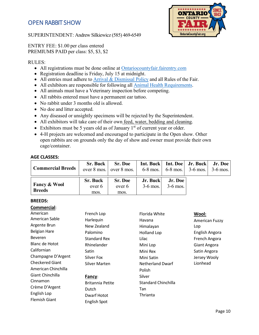# <span id="page-9-0"></span>OPEN RABBIT SHOW

SUPERINTENDENT: Andrew Silkiewicz (585) 469-6549



# ENTRY FEE: \$1.00 per class entered PREMIUMS PAID per class: \$5, \$3, \$2

#### RULES:

- All registrations must be done online at [Ontariocountyfair.fairentry.com](https://ontariocountyfair.fairentry.com/Fair/SignIn/16867)
- Registration deadline is Friday, July 15 at midnight.
- All entries must adhere to [Arrival & Dismissal](http://ontariocountyfair.org/wp-content/uploads/2021/07/2021-Animal-Arrival-Times-6132019-1-2.pdf) [Policy](http://ontariocountyfair.org/wp-content/uploads/2021/07/2021-Animal-Arrival-Times-6132019-1-2.pdf) and all Rules of the Fair.
- All exhibitors are responsible for following all [Animal Health Requirements.](http://ontariocountyfair.org/wp-content/uploads/2019/07/20119-Fair_Health_Requirements.pdf)
- All animals must have a Veterinary inspection before competing.
- All rabbits entered must have a permanent ear tattoo.
- No rabbit under 3 months old is allowed.
- No doe and litter accepted.
- Any diseased or unsightly specimens will be rejected by the Superintendent.
- All exhibitors will take care of their own feed, water, bedding and cleaning.
- Exhibitors must be 5 years old as of January  $1<sup>st</sup>$  of current year or older.
- 4-H projects are welcomed and encouraged to participate in the Open show. Other open rabbits are on grounds only the day of show and owner must provide their own cage/container.

#### **AGE CLASSES:**

| <b>Commercial Breeds</b>                 | Sr. Buck                          | Sr. Doe<br>over $8 \text{ mos.}$ over $8 \text{ mos.}$ | Int. Buck   Int. Doe   Jr. Buck   Jr. Doe<br>6-8 mos.   6-8 mos.   3-6 mos.   3-6 mos. |                       |  |
|------------------------------------------|-----------------------------------|--------------------------------------------------------|----------------------------------------------------------------------------------------|-----------------------|--|
| <b>Fancy &amp; Wool</b><br><b>Breeds</b> | <b>Sr. Buck</b><br>over 6<br>mos. | <b>Sr. Doe</b><br>over 6<br>mos.                       | Jr. Buck<br>$3-6$ mos.                                                                 | Jr. Doe<br>$3-6$ mos. |  |

#### **BREEDS:**

| Commercial:            |                         |                         |                     |
|------------------------|-------------------------|-------------------------|---------------------|
| American               | French Lop              | Florida White           | Wool:               |
| American Sable         | Harlequin               | Havana                  | American Fuzzy      |
| Argente Brun           | New Zealand             | Himalayan               | Lop                 |
| <b>Belgian Hare</b>    | Palomino                | <b>Holland Lop</b>      | English Angora      |
| <b>Beveren</b>         | <b>Standard Rex</b>     | Lilac                   | French Angora       |
| Blanc de Hotot         | Rhinelander             | Mini Lop                | <b>Giant Angora</b> |
| Californian            | Satin                   | Mini Rex                | Satin Angora        |
| Champagne D'Argent     | Silver Fox              | Mini Satin              | Jersey Wooly        |
| <b>Checkered Giant</b> | Silver Marten           | <b>Netherland Dwarf</b> | Lionhead            |
| American Chinchilla    |                         | Polish                  |                     |
| Giant Chinchilla       | Fancy:                  | Silver                  |                     |
| Cinnamon               | <b>Britannia Petite</b> | Standard Chinchilla     |                     |
| Crème D'Argent         | Dutch                   | Tan                     |                     |
| English Lop            | Dwarf Hotot             | Thrianta                |                     |
| <b>Flemish Giant</b>   | <b>English Spot</b>     |                         |                     |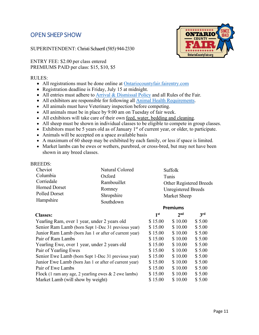# <span id="page-10-0"></span>OPEN SHEEP SHOW

SUPERINTENDENT: Christi Schaertl (585) 944-2330

ENTRY FEE: \$2.00 per class entered PREMIUMS PAID per class: \$15, \$10, \$5

### RULES:

- All registrations must be done online at [Ontariocountyfair.fairentry.com](https://ontariocountyfair.fairentry.com/Fair/SignIn/16867)
- Registration deadline is Friday, July 15 at midnight.
- All entries must adhere to [Arrival & Dismissal](http://ontariocountyfair.org/wp-content/uploads/2021/07/2021-Animal-Arrival-Times-6132019-1-2.pdf) [Policy](http://ontariocountyfair.org/wp-content/uploads/2021/07/2021-Animal-Arrival-Times-6132019-1-2.pdf) and all Rules of the Fair.
- All exhibitors are responsible for following all [Animal Health Requirements.](http://ontariocountyfair.org/wp-content/uploads/2019/07/20119-Fair_Health_Requirements.pdf)
- All animals must have Veterinary inspection before competing.
- All animals must be in place by 9:00 am on Tuesday of fair week.
- All exhibitors will take care of their own feed, water, bedding and cleaning.
- All sheep must be shown in individual classes to be eligible to compete in group classes.
- Exhibitors must be 5 years old as of January  $1<sup>st</sup>$  of current year, or older, to participate.
- Animals will be accepted on a space available basis
- A maximum of 60 sheep may be exhibited by each family, or less if space is limited.
- Market lambs can be ewes or wethers, purebred, or cross-bred, but may not have been shown in any breed classes.

### BREEDS:

| Cheviot              | Natural Colored | Suffolk                    |
|----------------------|-----------------|----------------------------|
| Columbia             | Oxford          | Tunis                      |
| Corriedale           | Rambouillet     | Other Registered Breeds    |
| <b>Horned Dorset</b> | Romney          | <b>Unregistered Breeds</b> |
| <b>Polled Dorset</b> | Shropshire      | Market Sheep               |
| Hampshire            | Southdown       |                            |

#### **Premiums**

| <b>Classes:</b>                                         | 1 <sup>st</sup> | 2 <sub>nd</sub> | 3 <sup>rd</sup> |
|---------------------------------------------------------|-----------------|-----------------|-----------------|
| Yearling Ram, over 1 year, under 2 years old            | \$15.00         | \$10.00         | \$5.00          |
| Senior Ram Lamb (born Sept 1-Dec 31 previous year)      | \$15.00         | \$10.00         | \$5.00          |
| Junior Ram Lamb (born Jan 1 or after of current year)   | \$15.00         | \$10.00         | \$5.00          |
| Pair of Ram Lambs                                       | \$15.00         | \$10.00         | \$5.00          |
| Yearling Ewe, over 1 year, under 2 years old            | \$15.00         | \$10.00         | \$5.00          |
| Pair of Yearling Ewes                                   | \$15.00         | \$10.00         | \$5.00          |
| Senior Ewe Lamb (born Sept 1-Dec 31 previous year)      | \$15.00         | \$10.00         | \$5.00          |
| Junior Ewe Lamb (born Jan 1 or after of current year)   | \$15.00         | \$10.00         | \$5.00          |
| Pair of Ewe Lambs                                       | \$15.00         | \$10.00         | \$5.00          |
| Flock (1 ram any age, 2 yearling ewes $\&$ 2 ewe lambs) | \$15.00         | \$10.00         | \$5.00          |
| Market Lamb (will show by weight)                       | \$15.00         | \$10.00         | \$5.00          |

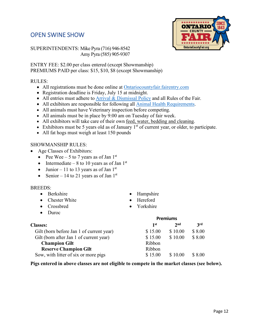# <span id="page-11-0"></span>OPEN SWINE SHOW



SUPERINTENDENTS: Mike Pyra (716) 946-8542 Amy Pyra (585) 905-9307

ENTRY FEE: \$2.00 per class entered (except Showmanship) PREMIUMS PAID per class: \$15, \$10, \$8 (except Showmanship)

# RULES:

- All registrations must be done online at [Ontariocountyfair.fairentry.com](https://ontariocountyfair.fairentry.com/Fair/SignIn/16867)
- Registration deadline is Friday, July 15 at midnight.
- All entries must adhere to [Arrival & Dismissal](http://ontariocountyfair.org/wp-content/uploads/2021/07/2021-Animal-Arrival-Times-6132019-1-2.pdf) [Policy](http://ontariocountyfair.org/wp-content/uploads/2021/07/2021-Animal-Arrival-Times-6132019-1-2.pdf) and all Rules of the Fair.
- All exhibitors are responsible for following all [Animal Health Requirements.](http://ontariocountyfair.org/wp-content/uploads/2019/07/20119-Fair_Health_Requirements.pdf)
- All animals must have Veterinary inspection before competing.
- All animals must be in place by 9:00 am on Tuesday of fair week.
- All exhibitors will take care of their own feed, water, bedding and cleaning.
- Exhibitors must be 5 years old as of January  $1<sup>st</sup>$  of current year, or older, to participate.
- All fat hogs must weigh at least 150 pounds

# SHOWMANSHIP RULES:

- Age Classes of Exhibitors:
	- Pee Wee 5 to 7 years as of Jan  $1<sup>st</sup>$
	- Intermediate 8 to 10 years as of Jan  $1<sup>st</sup>$
	- Junior 11 to 13 years as of Jan  $1<sup>st</sup>$
	- Senior 14 to 21 years as of Jan  $1<sup>st</sup>$

### BREEDS:

- Berkshire
- Chester White
- Crossbred
- Duroc
- Hampshire
- **Hereford**
- Yorkshire

|                                          |         | <b>Premiums</b> |        |
|------------------------------------------|---------|-----------------|--------|
| <b>Classes:</b>                          | 1st     | 2 <sub>nd</sub> | 3rd    |
| Gilt (born before Jan 1 of current year) | \$15.00 | \$10.00         | \$8.00 |
| Gilt (born after Jan 1 of current year)  | \$15.00 | \$10.00         | \$8.00 |
| <b>Champion Gilt</b>                     | Ribbon  |                 |        |
| <b>Reserve Champion Gilt</b>             | Ribbon  |                 |        |
| Sow, with litter of six or more pigs     | \$15.00 | \$10.00         | \$8.00 |

#### **Pigs entered in above classes are not eligible to compete in the market classes (see below).**